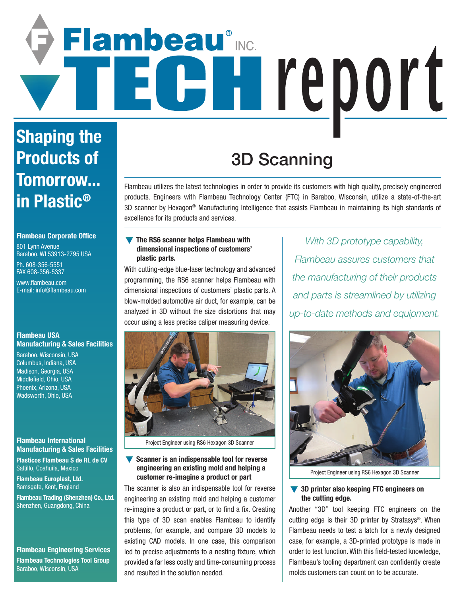# Flambeau® C Hreport

## **Shaping the Products of Tomorrow... in Plastic®**

#### **Flambeau Corporate Office**

801 Lynn Avenue Baraboo, WI 53913-2795 USA

Ph. 608-356-5551 FAX 608-356-5337

www.flambeau.com E-mail: info@flambeau.com

#### **Flambeau USA Manufacturing & Sales Facilities**

Baraboo, Wisconsin, USA Columbus, Indiana, USA Madison, Georgia, USA Middlefield, Ohio, USA Phoenix, Arizona, USA Wadsworth, Ohio, USA

#### **Flambeau International Manufacturing & Sales Facilities**

**Plasticos Flambeau S de RL de CV** Saltillo, Coahuila, Mexico

**Flambeau Europlast, Ltd.** Ramsgate, Kent, England

**Flambeau Trading (Shenzhen) Co., Ltd.** Shenzhen, Guangdong, China

#### **Flambeau Engineering Services Flambeau Technologies Tool Group** Baraboo, Wisconsin, USA

### 3D Scanning

Flambeau utilizes the latest technologies in order to provide its customers with high quality, precisely engineered products. Engineers with Flambeau Technology Center (FTC) in Baraboo, Wisconsin, utilize a state-of-the-art 3D scanner by Hexagon® Manufacturing Intelligence that assists Flambeau in maintaining its high standards of excellence for its products and services.

#### $\blacktriangledown$  The RS6 scanner helps Flambeau with **dimensional inspections of customers' plastic parts.**

With cutting-edge blue-laser technology and advanced programming, the RS6 scanner helps Flambeau with dimensional inspections of customers' plastic parts. A blow-molded automotive air duct, for example, can be analyzed in 3D without the size distortions that may occur using a less precise caliper measuring device.



Project Engineer using RS6 Hexagon 3D Scanner

#### **Scanner is an indispensable tool for reverse engineering an existing mold and helping a customer re-imagine a product or part**

The scanner is also an indispensable tool for reverse engineering an existing mold and helping a customer re-imagine a product or part, or to find a fix. Creating this type of 3D scan enables Flambeau to identify problems, for example, and compare 3D models to existing CAD models. In one case, this comparison led to precise adjustments to a nesting fixture, which provided a far less costly and time-consuming process and resulted in the solution needed.

*With 3D prototype capability, Flambeau assures customers that the manufacturing of their products and parts is streamlined by utilizing up-to-date methods and equipment.*



Project Engineer using RS6 Hexagon 3D Scanner

#### **3D printer also keeping FTC engineers on the cutting edge.**

Another "3D" tool keeping FTC engineers on the cutting edge is their 3D printer by Stratasys®. When Flambeau needs to test a latch for a newly designed case, for example, a 3D-printed prototype is made in order to test function. With this field-tested knowledge, Flambeau's tooling department can confidently create molds customers can count on to be accurate.